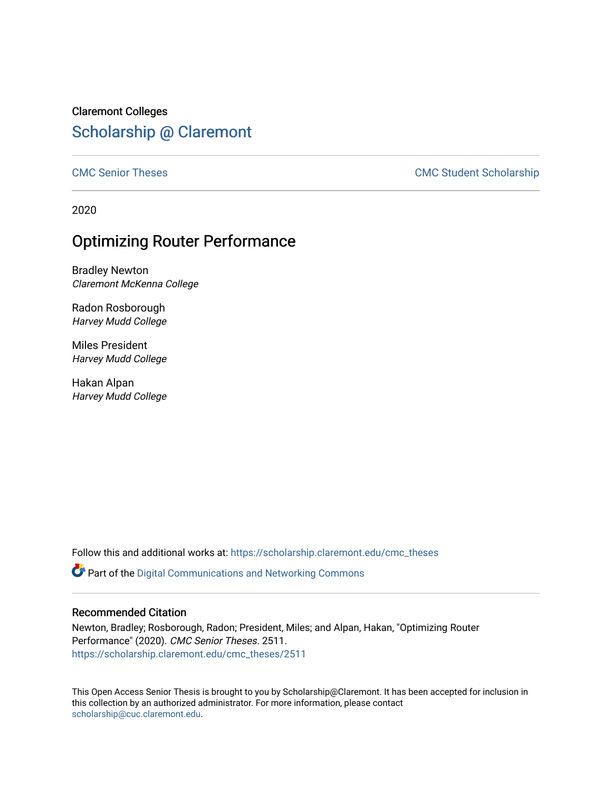Claremont Colleges [Scholarship @ Claremont](https://scholarship.claremont.edu/) 

[CMC Senior Theses](https://scholarship.claremont.edu/cmc_theses) CMC Student Scholarship

2020

## Optimizing Router Performance

Bradley Newton Claremont McKenna College

Radon Rosborough Harvey Mudd College

Miles President Harvey Mudd College

Hakan Alpan Harvey Mudd College

Follow this and additional works at: [https://scholarship.claremont.edu/cmc\\_theses](https://scholarship.claremont.edu/cmc_theses?utm_source=scholarship.claremont.edu%2Fcmc_theses%2F2511&utm_medium=PDF&utm_campaign=PDFCoverPages) 

 $\bullet$  Part of the Digital Communications and Networking Commons

#### Recommended Citation

Newton, Bradley; Rosborough, Radon; President, Miles; and Alpan, Hakan, "Optimizing Router Performance" (2020). CMC Senior Theses. 2511. [https://scholarship.claremont.edu/cmc\\_theses/2511](https://scholarship.claremont.edu/cmc_theses/2511?utm_source=scholarship.claremont.edu%2Fcmc_theses%2F2511&utm_medium=PDF&utm_campaign=PDFCoverPages) 

This Open Access Senior Thesis is brought to you by Scholarship@Claremont. It has been accepted for inclusion in this collection by an authorized administrator. For more information, please contact [scholarship@cuc.claremont.edu.](mailto:scholarship@cuc.claremont.edu)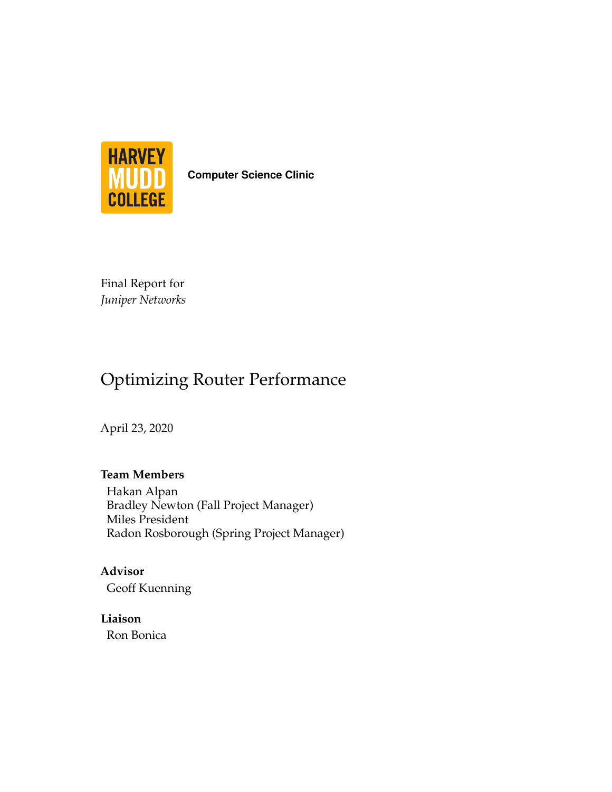

**Computer Science Clinic**

Final Report for *Juniper Networks*

## Optimizing Router Performance

April 23, 2020

### **Team Members**

Hakan Alpan Bradley Newton (Fall Project Manager) Miles President Radon Rosborough (Spring Project Manager)

**Advisor** Geoff Kuenning

**Liaison** Ron Bonica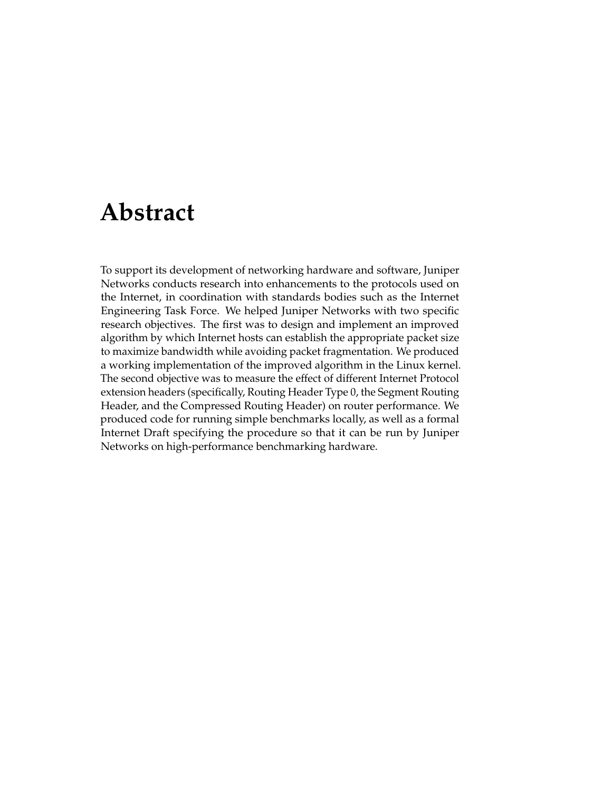## <span id="page-3-0"></span>**Abstract**

To support its development of networking hardware and software, Juniper Networks conducts research into enhancements to the protocols used on the Internet, in coordination with standards bodies such as the Internet Engineering Task Force. We helped Juniper Networks with two specific research objectives. The first was to design and implement an improved algorithm by which Internet hosts can establish the appropriate packet size to maximize bandwidth while avoiding packet fragmentation. We produced a working implementation of the improved algorithm in the Linux kernel. The second objective was to measure the effect of different Internet Protocol extension headers (specifically, Routing Header Type 0, the Segment Routing Header, and the Compressed Routing Header) on router performance. We produced code for running simple benchmarks locally, as well as a formal Internet Draft specifying the procedure so that it can be run by Juniper Networks on high-performance benchmarking hardware.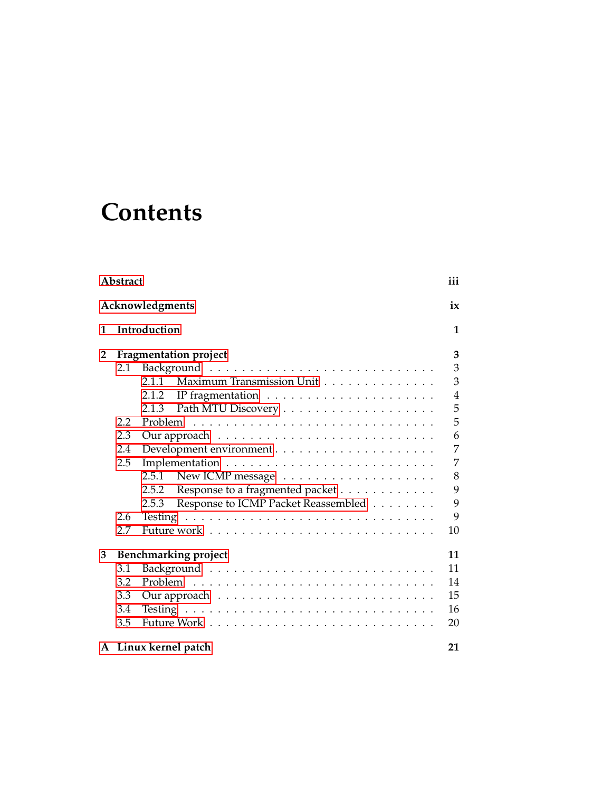## **Contents**

| Abstract        |     |                                                                       |    |  |
|-----------------|-----|-----------------------------------------------------------------------|----|--|
| Acknowledgments |     |                                                                       |    |  |
| 1               |     | Introduction                                                          | 1  |  |
| 2               |     | <b>Fragmentation project</b>                                          | 3  |  |
|                 | 2.1 |                                                                       | 3  |  |
|                 |     | Maximum Transmission Unit<br>2.1.1                                    | 3  |  |
|                 |     | IP fragmentation $\dots \dots \dots \dots \dots \dots \dots$<br>2.1.2 | 4  |  |
|                 |     | 2.1.3                                                                 | 5  |  |
|                 | 2.2 |                                                                       | 5  |  |
|                 | 2.3 |                                                                       | 6  |  |
|                 | 2.4 |                                                                       | 7  |  |
|                 | 2.5 |                                                                       | 7  |  |
|                 |     | New ICMP message $\dots \dots \dots \dots \dots \dots \dots$<br>2.5.1 | 8  |  |
|                 |     | Response to a fragmented packet<br>2.5.2                              | 9  |  |
|                 |     | Response to ICMP Packet Reassembled<br>2.5.3                          | 9  |  |
|                 | 2.6 |                                                                       | 9  |  |
|                 | 2.7 |                                                                       | 10 |  |
| 3               |     | <b>Benchmarking project</b>                                           | 11 |  |
|                 | 3.1 |                                                                       | 11 |  |
|                 | 3.2 |                                                                       | 14 |  |
|                 | 3.3 |                                                                       | 15 |  |
|                 | 3.4 |                                                                       | 16 |  |
|                 | 3.5 |                                                                       | 20 |  |
|                 |     | A Linux kernel patch                                                  | 21 |  |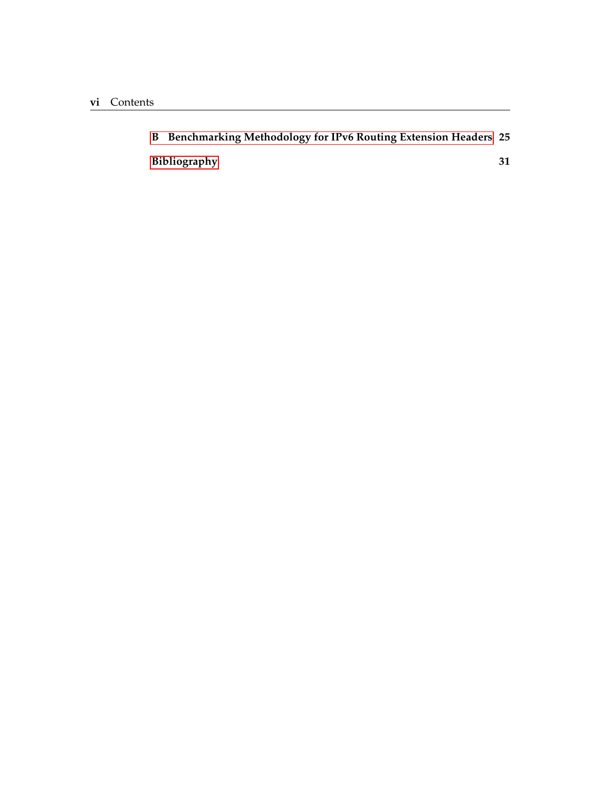| B Benchmarking Methodology for IPv6 Routing Extension Headers 25 |  |
|------------------------------------------------------------------|--|
| Bibliography                                                     |  |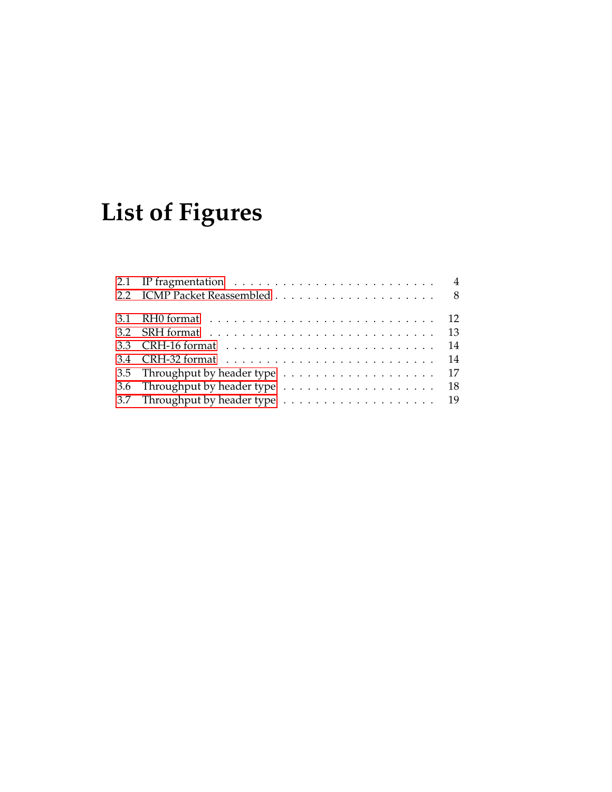# **List of Figures**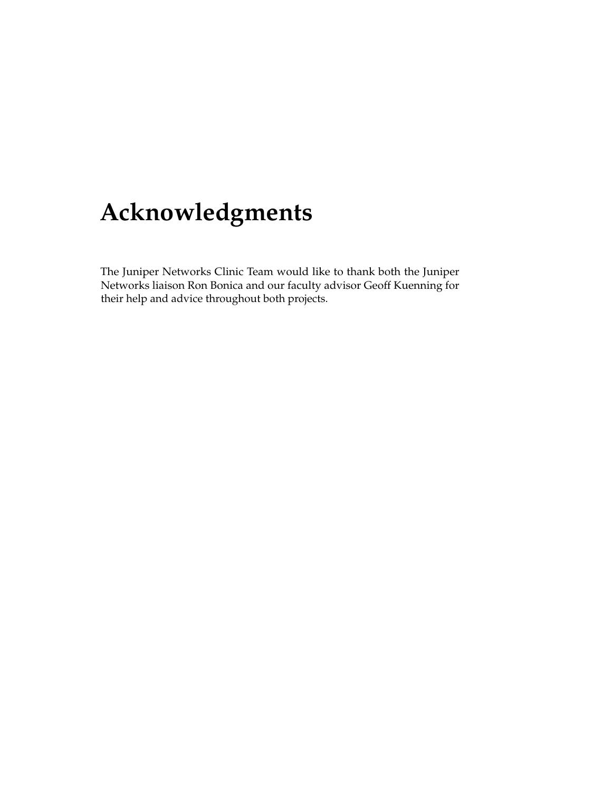## <span id="page-9-0"></span>**Acknowledgments**

The Juniper Networks Clinic Team would like to thank both the Juniper Networks liaison Ron Bonica and our faculty advisor Geoff Kuenning for their help and advice throughout both projects.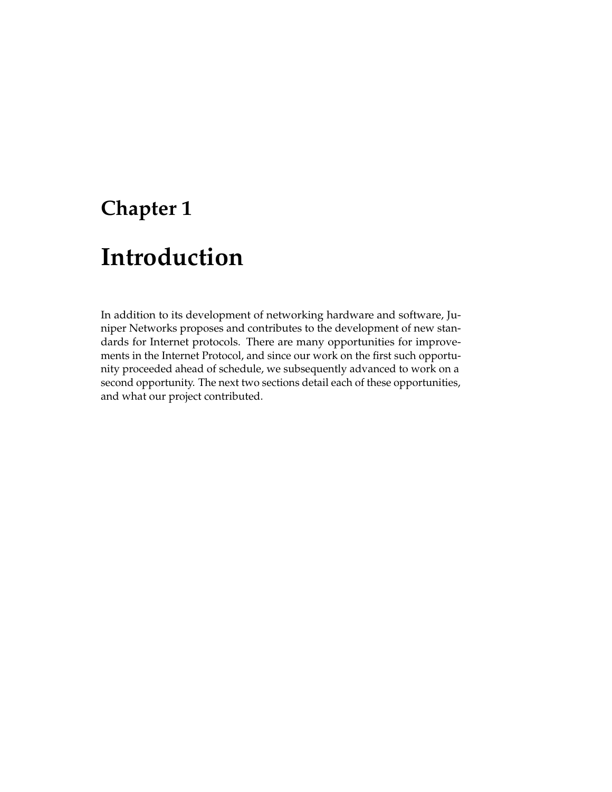## <span id="page-11-0"></span>**Chapter 1**

## **Introduction**

In addition to its development of networking hardware and software, Juniper Networks proposes and contributes to the development of new standards for Internet protocols. There are many opportunities for improvements in the Internet Protocol, and since our work on the first such opportunity proceeded ahead of schedule, we subsequently advanced to work on a second opportunity. The next two sections detail each of these opportunities, and what our project contributed.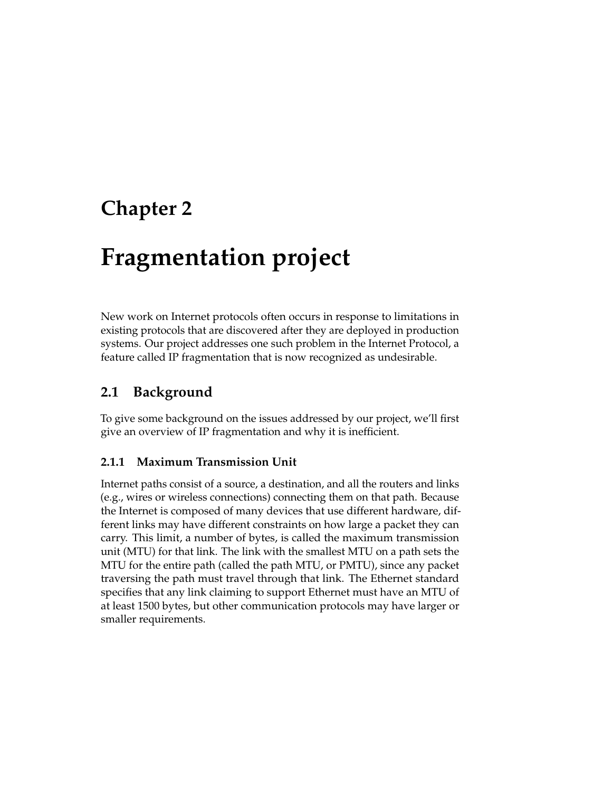## <span id="page-13-0"></span>**Chapter 2**

## **Fragmentation project**

New work on Internet protocols often occurs in response to limitations in existing protocols that are discovered after they are deployed in production systems. Our project addresses one such problem in the Internet Protocol, a feature called IP fragmentation that is now recognized as undesirable.

### <span id="page-13-1"></span>**2.1 Background**

To give some background on the issues addressed by our project, we'll first give an overview of IP fragmentation and why it is inefficient.

### <span id="page-13-2"></span>**2.1.1 Maximum Transmission Unit**

Internet paths consist of a source, a destination, and all the routers and links (e.g., wires or wireless connections) connecting them on that path. Because the Internet is composed of many devices that use different hardware, different links may have different constraints on how large a packet they can carry. This limit, a number of bytes, is called the maximum transmission unit (MTU) for that link. The link with the smallest MTU on a path sets the MTU for the entire path (called the path MTU, or PMTU), since any packet traversing the path must travel through that link. The Ethernet standard specifies that any link claiming to support Ethernet must have an MTU of at least 1500 bytes, but other communication protocols may have larger or smaller requirements.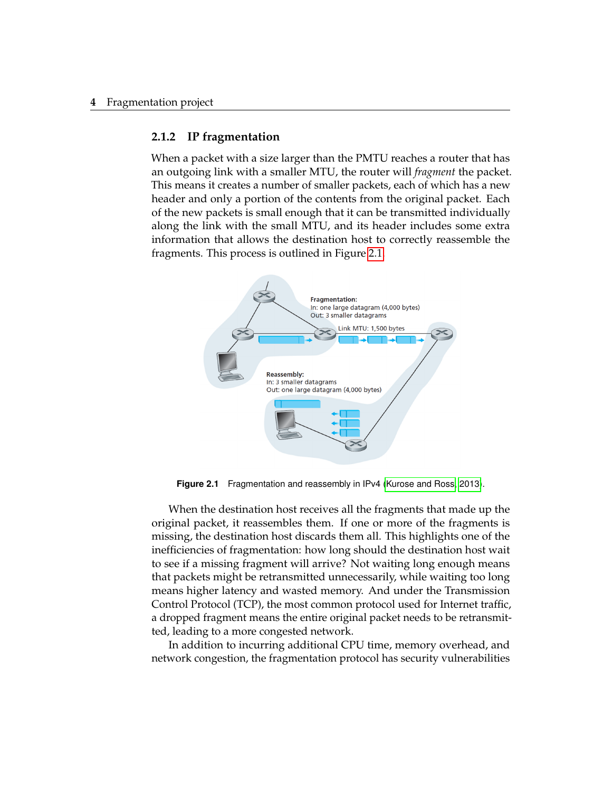#### **4** Fragmentation project

#### <span id="page-14-0"></span>**2.1.2 IP fragmentation**

When a packet with a size larger than the PMTU reaches a router that has an outgoing link with a smaller MTU, the router will *fragment* the packet. This means it creates a number of smaller packets, each of which has a new header and only a portion of the contents from the original packet. Each of the new packets is small enough that it can be transmitted individually along the link with the small MTU, and its header includes some extra information that allows the destination host to correctly reassemble the fragments. This process is outlined in Figure [2.1.](#page-14-1)

<span id="page-14-1"></span>

**Figure 2.1** Fragmentation and reassembly in IPv4 [\(Kurose and Ross, 2013\)](#page-41-1).

When the destination host receives all the fragments that made up the original packet, it reassembles them. If one or more of the fragments is missing, the destination host discards them all. This highlights one of the inefficiencies of fragmentation: how long should the destination host wait to see if a missing fragment will arrive? Not waiting long enough means that packets might be retransmitted unnecessarily, while waiting too long means higher latency and wasted memory. And under the Transmission Control Protocol (TCP), the most common protocol used for Internet traffic, a dropped fragment means the entire original packet needs to be retransmitted, leading to a more congested network.

In addition to incurring additional CPU time, memory overhead, and network congestion, the fragmentation protocol has security vulnerabilities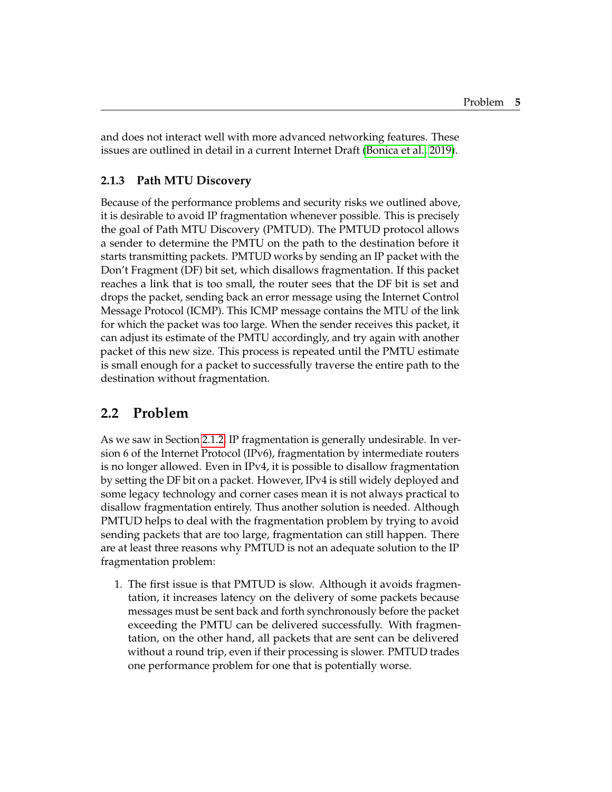and does not interact well with more advanced networking features. These issues are outlined in detail in a current Internet Draft [\(Bonica et al., 2019\)](#page-41-2).

### <span id="page-15-0"></span>**2.1.3 Path MTU Discovery**

Because of the performance problems and security risks we outlined above, it is desirable to avoid IP fragmentation whenever possible. This is precisely the goal of Path MTU Discovery (PMTUD). The PMTUD protocol allows a sender to determine the PMTU on the path to the destination before it starts transmitting packets. PMTUD works by sending an IP packet with the Don't Fragment (DF) bit set, which disallows fragmentation. If this packet reaches a link that is too small, the router sees that the DF bit is set and drops the packet, sending back an error message using the Internet Control Message Protocol (ICMP). This ICMP message contains the MTU of the link for which the packet was too large. When the sender receives this packet, it can adjust its estimate of the PMTU accordingly, and try again with another packet of this new size. This process is repeated until the PMTU estimate is small enough for a packet to successfully traverse the entire path to the destination without fragmentation.

### <span id="page-15-1"></span>**2.2 Problem**

As we saw in Section [2.1.2,](#page-14-0) IP fragmentation is generally undesirable. In version 6 of the Internet Protocol (IPv6), fragmentation by intermediate routers is no longer allowed. Even in IPv4, it is possible to disallow fragmentation by setting the DF bit on a packet. However, IPv4 is still widely deployed and some legacy technology and corner cases mean it is not always practical to disallow fragmentation entirely. Thus another solution is needed. Although PMTUD helps to deal with the fragmentation problem by trying to avoid sending packets that are too large, fragmentation can still happen. There are at least three reasons why PMTUD is not an adequate solution to the IP fragmentation problem:

1. The first issue is that PMTUD is slow. Although it avoids fragmentation, it increases latency on the delivery of some packets because messages must be sent back and forth synchronously before the packet exceeding the PMTU can be delivered successfully. With fragmentation, on the other hand, all packets that are sent can be delivered without a round trip, even if their processing is slower. PMTUD trades one performance problem for one that is potentially worse.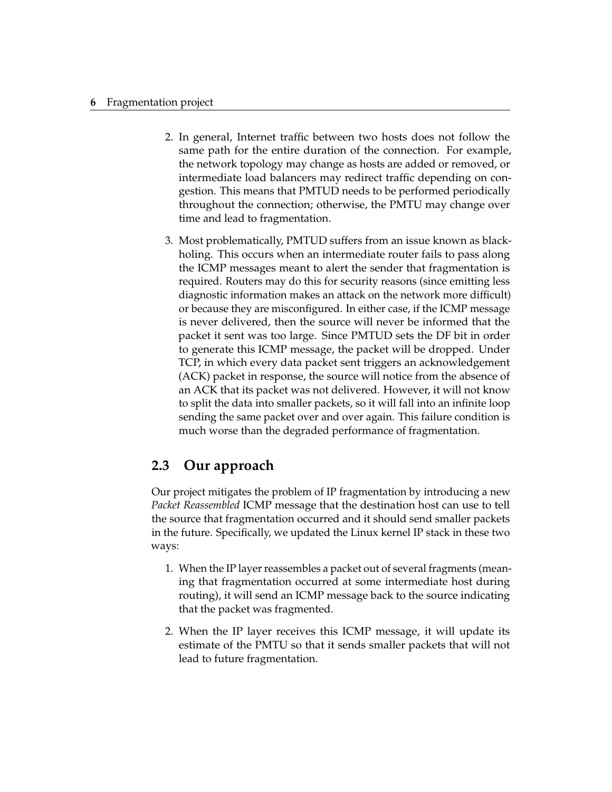#### **6** Fragmentation project

- 2. In general, Internet traffic between two hosts does not follow the same path for the entire duration of the connection. For example, the network topology may change as hosts are added or removed, or intermediate load balancers may redirect traffic depending on congestion. This means that PMTUD needs to be performed periodically throughout the connection; otherwise, the PMTU may change over time and lead to fragmentation.
- 3. Most problematically, PMTUD suffers from an issue known as blackholing. This occurs when an intermediate router fails to pass along the ICMP messages meant to alert the sender that fragmentation is required. Routers may do this for security reasons (since emitting less diagnostic information makes an attack on the network more difficult) or because they are misconfigured. In either case, if the ICMP message is never delivered, then the source will never be informed that the packet it sent was too large. Since PMTUD sets the DF bit in order to generate this ICMP message, the packet will be dropped. Under TCP, in which every data packet sent triggers an acknowledgement (ACK) packet in response, the source will notice from the absence of an ACK that its packet was not delivered. However, it will not know to split the data into smaller packets, so it will fall into an infinite loop sending the same packet over and over again. This failure condition is much worse than the degraded performance of fragmentation.

## <span id="page-16-0"></span>**2.3 Our approach**

Our project mitigates the problem of IP fragmentation by introducing a new *Packet Reassembled* ICMP message that the destination host can use to tell the source that fragmentation occurred and it should send smaller packets in the future. Specifically, we updated the Linux kernel IP stack in these two ways:

- 1. When the IP layer reassembles a packet out of several fragments (meaning that fragmentation occurred at some intermediate host during routing), it will send an ICMP message back to the source indicating that the packet was fragmented.
- 2. When the IP layer receives this ICMP message, it will update its estimate of the PMTU so that it sends smaller packets that will not lead to future fragmentation.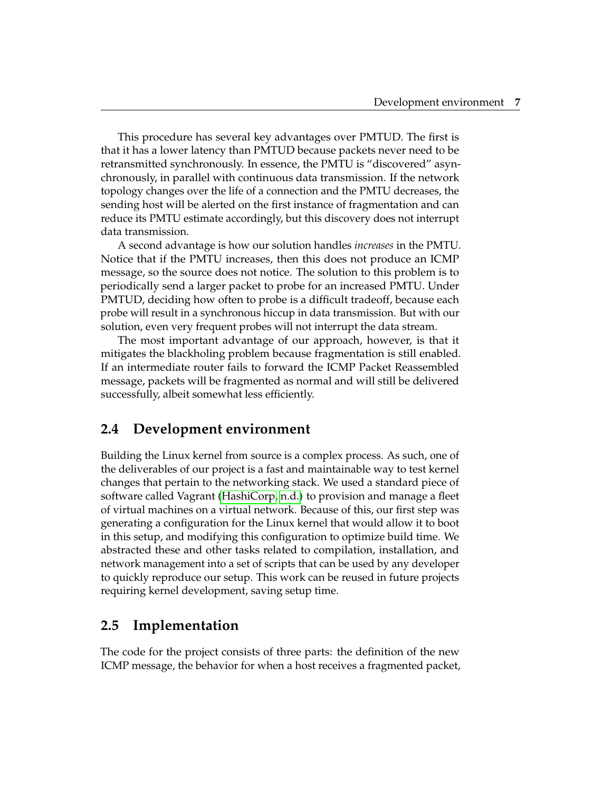This procedure has several key advantages over PMTUD. The first is that it has a lower latency than PMTUD because packets never need to be retransmitted synchronously. In essence, the PMTU is "discovered" asynchronously, in parallel with continuous data transmission. If the network topology changes over the life of a connection and the PMTU decreases, the sending host will be alerted on the first instance of fragmentation and can reduce its PMTU estimate accordingly, but this discovery does not interrupt data transmission.

A second advantage is how our solution handles *increases* in the PMTU. Notice that if the PMTU increases, then this does not produce an ICMP message, so the source does not notice. The solution to this problem is to periodically send a larger packet to probe for an increased PMTU. Under PMTUD, deciding how often to probe is a difficult tradeoff, because each probe will result in a synchronous hiccup in data transmission. But with our solution, even very frequent probes will not interrupt the data stream.

The most important advantage of our approach, however, is that it mitigates the blackholing problem because fragmentation is still enabled. If an intermediate router fails to forward the ICMP Packet Reassembled message, packets will be fragmented as normal and will still be delivered successfully, albeit somewhat less efficiently.

### <span id="page-17-0"></span>**2.4 Development environment**

Building the Linux kernel from source is a complex process. As such, one of the deliverables of our project is a fast and maintainable way to test kernel changes that pertain to the networking stack. We used a standard piece of software called Vagrant [\(HashiCorp, n.d.\)](#page-41-3) to provision and manage a fleet of virtual machines on a virtual network. Because of this, our first step was generating a configuration for the Linux kernel that would allow it to boot in this setup, and modifying this configuration to optimize build time. We abstracted these and other tasks related to compilation, installation, and network management into a set of scripts that can be used by any developer to quickly reproduce our setup. This work can be reused in future projects requiring kernel development, saving setup time.

### <span id="page-17-1"></span>**2.5 Implementation**

The code for the project consists of three parts: the definition of the new ICMP message, the behavior for when a host receives a fragmented packet,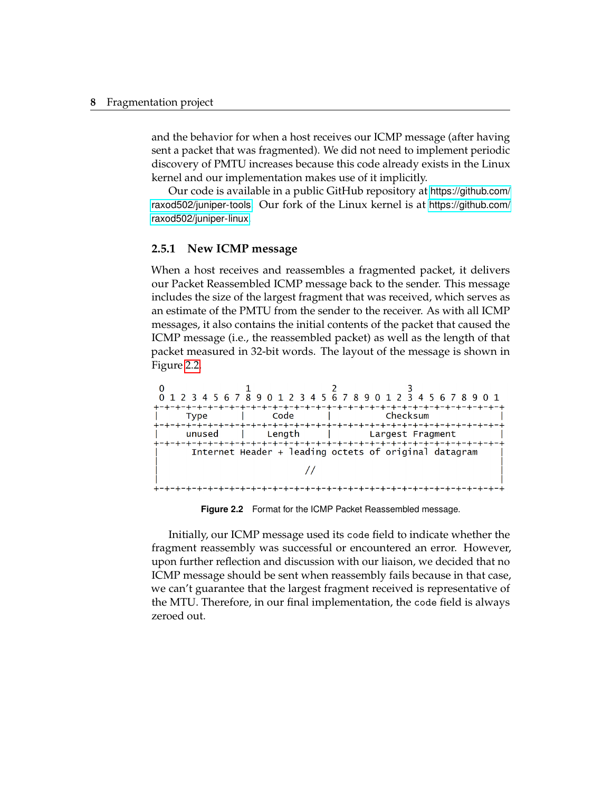and the behavior for when a host receives our ICMP message (after having sent a packet that was fragmented). We did not need to implement periodic discovery of PMTU increases because this code already exists in the Linux kernel and our implementation makes use of it implicitly.

Our code is available in a public GitHub repository at [https://github.com/](https://github.com/raxod502/juniper-tools) [raxod502/juniper-tools](https://github.com/raxod502/juniper-tools). Our fork of the Linux kernel is at [https://github.com/](https://github.com/raxod502/juniper-linux) [raxod502/juniper-linux](https://github.com/raxod502/juniper-linux).

#### <span id="page-18-0"></span>**2.5.1 New ICMP message**

When a host receives and reassembles a fragmented packet, it delivers our Packet Reassembled ICMP message back to the sender. This message includes the size of the largest fragment that was received, which serves as an estimate of the PMTU from the sender to the receiver. As with all ICMP messages, it also contains the initial contents of the packet that caused the ICMP message (i.e., the reassembled packet) as well as the length of that packet measured in 32-bit words. The layout of the message is shown in Figure [2.2.](#page-18-1)

<span id="page-18-1"></span>

**Figure 2.2** Format for the ICMP Packet Reassembled message.

Initially, our ICMP message used its code field to indicate whether the fragment reassembly was successful or encountered an error. However, upon further reflection and discussion with our liaison, we decided that no ICMP message should be sent when reassembly fails because in that case, we can't guarantee that the largest fragment received is representative of the MTU. Therefore, in our final implementation, the code field is always zeroed out.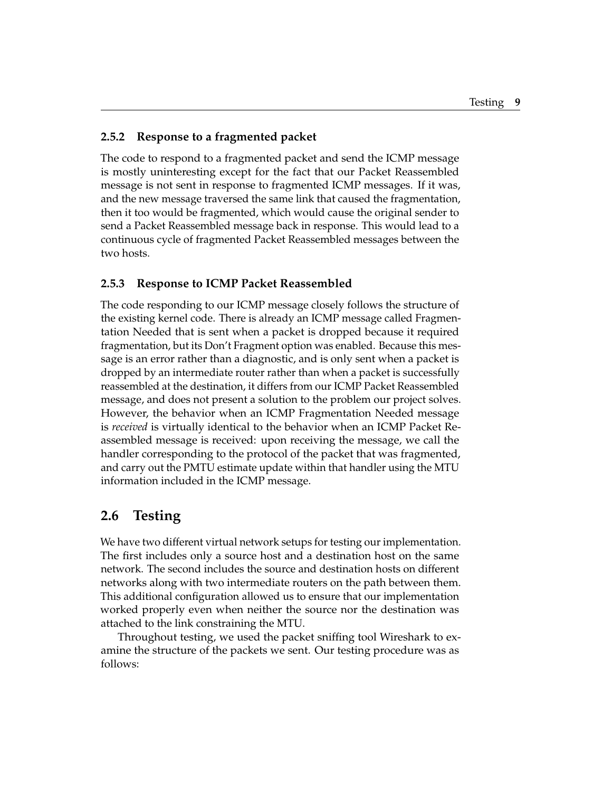#### <span id="page-19-0"></span>**2.5.2 Response to a fragmented packet**

The code to respond to a fragmented packet and send the ICMP message is mostly uninteresting except for the fact that our Packet Reassembled message is not sent in response to fragmented ICMP messages. If it was, and the new message traversed the same link that caused the fragmentation, then it too would be fragmented, which would cause the original sender to send a Packet Reassembled message back in response. This would lead to a continuous cycle of fragmented Packet Reassembled messages between the two hosts.

### <span id="page-19-1"></span>**2.5.3 Response to ICMP Packet Reassembled**

The code responding to our ICMP message closely follows the structure of the existing kernel code. There is already an ICMP message called Fragmentation Needed that is sent when a packet is dropped because it required fragmentation, but its Don't Fragment option was enabled. Because this message is an error rather than a diagnostic, and is only sent when a packet is dropped by an intermediate router rather than when a packet is successfully reassembled at the destination, it differs from our ICMP Packet Reassembled message, and does not present a solution to the problem our project solves. However, the behavior when an ICMP Fragmentation Needed message is *received* is virtually identical to the behavior when an ICMP Packet Reassembled message is received: upon receiving the message, we call the handler corresponding to the protocol of the packet that was fragmented, and carry out the PMTU estimate update within that handler using the MTU information included in the ICMP message.

### <span id="page-19-2"></span>**2.6 Testing**

We have two different virtual network setups for testing our implementation. The first includes only a source host and a destination host on the same network. The second includes the source and destination hosts on different networks along with two intermediate routers on the path between them. This additional configuration allowed us to ensure that our implementation worked properly even when neither the source nor the destination was attached to the link constraining the MTU.

Throughout testing, we used the packet sniffing tool Wireshark to examine the structure of the packets we sent. Our testing procedure was as follows: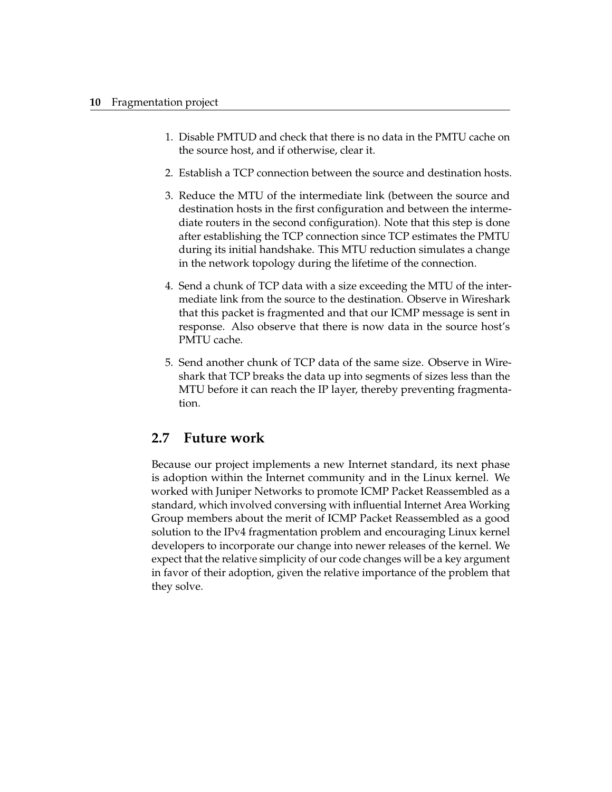- 1. Disable PMTUD and check that there is no data in the PMTU cache on the source host, and if otherwise, clear it.
- 2. Establish a TCP connection between the source and destination hosts.
- 3. Reduce the MTU of the intermediate link (between the source and destination hosts in the first configuration and between the intermediate routers in the second configuration). Note that this step is done after establishing the TCP connection since TCP estimates the PMTU during its initial handshake. This MTU reduction simulates a change in the network topology during the lifetime of the connection.
- 4. Send a chunk of TCP data with a size exceeding the MTU of the intermediate link from the source to the destination. Observe in Wireshark that this packet is fragmented and that our ICMP message is sent in response. Also observe that there is now data in the source host's PMTU cache.
- 5. Send another chunk of TCP data of the same size. Observe in Wireshark that TCP breaks the data up into segments of sizes less than the MTU before it can reach the IP layer, thereby preventing fragmentation.

### <span id="page-20-0"></span>**2.7 Future work**

Because our project implements a new Internet standard, its next phase is adoption within the Internet community and in the Linux kernel. We worked with Juniper Networks to promote ICMP Packet Reassembled as a standard, which involved conversing with influential Internet Area Working Group members about the merit of ICMP Packet Reassembled as a good solution to the IPv4 fragmentation problem and encouraging Linux kernel developers to incorporate our change into newer releases of the kernel. We expect that the relative simplicity of our code changes will be a key argument in favor of their adoption, given the relative importance of the problem that they solve.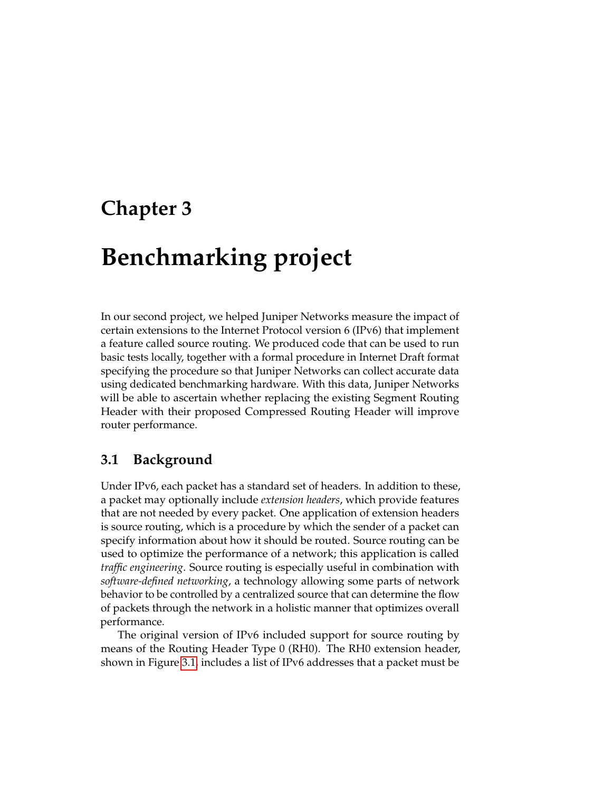## <span id="page-21-0"></span>**Chapter 3**

## **Benchmarking project**

In our second project, we helped Juniper Networks measure the impact of certain extensions to the Internet Protocol version 6 (IPv6) that implement a feature called source routing. We produced code that can be used to run basic tests locally, together with a formal procedure in Internet Draft format specifying the procedure so that Juniper Networks can collect accurate data using dedicated benchmarking hardware. With this data, Juniper Networks will be able to ascertain whether replacing the existing Segment Routing Header with their proposed Compressed Routing Header will improve router performance.

### <span id="page-21-1"></span>**3.1 Background**

Under IPv6, each packet has a standard set of headers. In addition to these, a packet may optionally include *extension headers*, which provide features that are not needed by every packet. One application of extension headers is source routing, which is a procedure by which the sender of a packet can specify information about how it should be routed. Source routing can be used to optimize the performance of a network; this application is called *traffic engineering*. Source routing is especially useful in combination with *software-defined networking*, a technology allowing some parts of network behavior to be controlled by a centralized source that can determine the flow of packets through the network in a holistic manner that optimizes overall performance.

The original version of IPv6 included support for source routing by means of the Routing Header Type 0 (RH0). The RH0 extension header, shown in Figure [3.1,](#page-22-0) includes a list of IPv6 addresses that a packet must be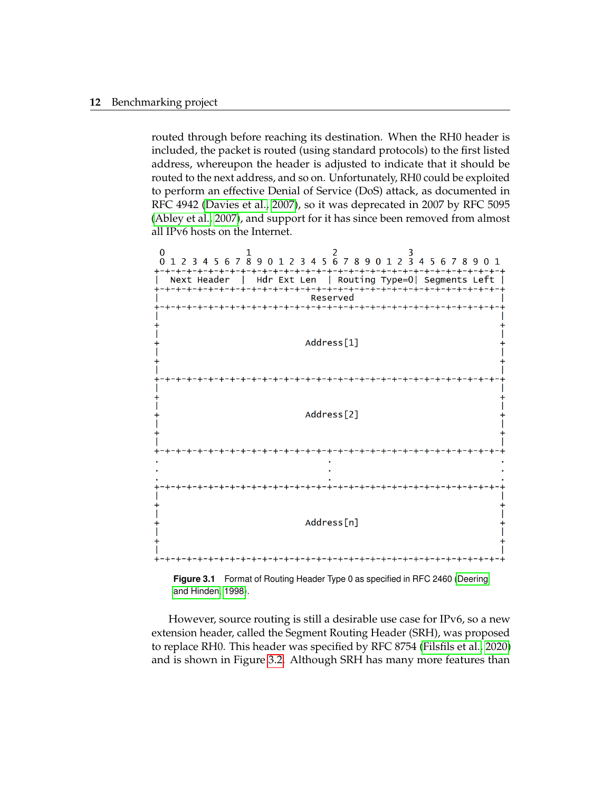routed through before reaching its destination. When the RH0 header is included, the packet is routed (using standard protocols) to the first listed address, whereupon the header is adjusted to indicate that it should be routed to the next address, and so on. Unfortunately, RH0 could be exploited to perform an effective Denial of Service (DoS) attack, as documented in RFC 4942 [\(Davies et al., 2007\)](#page-41-4), so it was deprecated in 2007 by RFC 5095 [\(Abley et al., 2007\)](#page-41-5), and support for it has since been removed from almost all IPv6 hosts on the Internet.

<span id="page-22-0"></span>

**Figure 3.1** Format of Routing Header Type 0 as specified in RFC 2460 [\(Deering](#page-41-6) [and Hinden, 1998\)](#page-41-6).

However, source routing is still a desirable use case for IPv6, so a new extension header, called the Segment Routing Header (SRH), was proposed to replace RH0. This header was specified by RFC 8754 [\(Filsfils et al., 2020\)](#page-41-7) and is shown in Figure [3.2.](#page-23-0) Although SRH has many more features than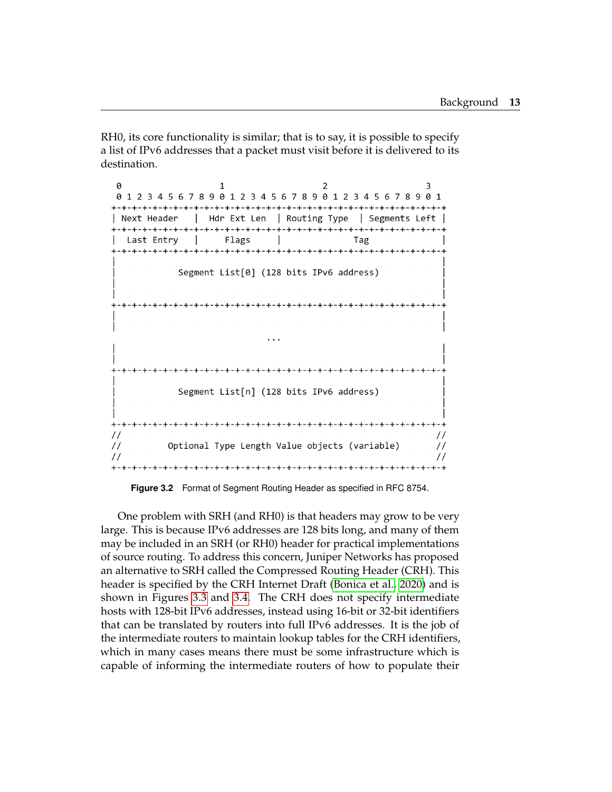RH0, its core functionality is similar; that is to say, it is possible to specify a list of IPv6 addresses that a packet must visit before it is delivered to its destination.

<span id="page-23-0"></span>a  $\mathfrak{p}$  $\overline{3}$  $\mathbf{1}$ 01234567890123456789012345678901 | Next Header | Hdr Ext Len | Routing Type | Segments Left | Last Entry | Flags | Tag Segment List[0] (128 bits IPv6 address)  $\ddotsc$ Segment List[n] (128 bits IPv6 address)  $\frac{1}{2}$  $\frac{1}{2}$  $\frac{1}{2}$ Optional Type Length Value objects (variable)  $\frac{1}{2}$  $\prime\prime$  $\frac{1}{2}$ 

**Figure 3.2** Format of Segment Routing Header as specified in RFC 8754.

One problem with SRH (and RH0) is that headers may grow to be very large. This is because IPv6 addresses are 128 bits long, and many of them may be included in an SRH (or RH0) header for practical implementations of source routing. To address this concern, Juniper Networks has proposed an alternative to SRH called the Compressed Routing Header (CRH). This header is specified by the CRH Internet Draft [\(Bonica et al., 2020\)](#page-41-8) and is shown in Figures [3.3](#page-24-1) and [3.4.](#page-24-2) The CRH does not specify intermediate hosts with 128-bit IPv6 addresses, instead using 16-bit or 32-bit identifiers that can be translated by routers into full IPv6 addresses. It is the job of the intermediate routers to maintain lookup tables for the CRH identifiers, which in many cases means there must be some infrastructure which is capable of informing the intermediate routers of how to populate their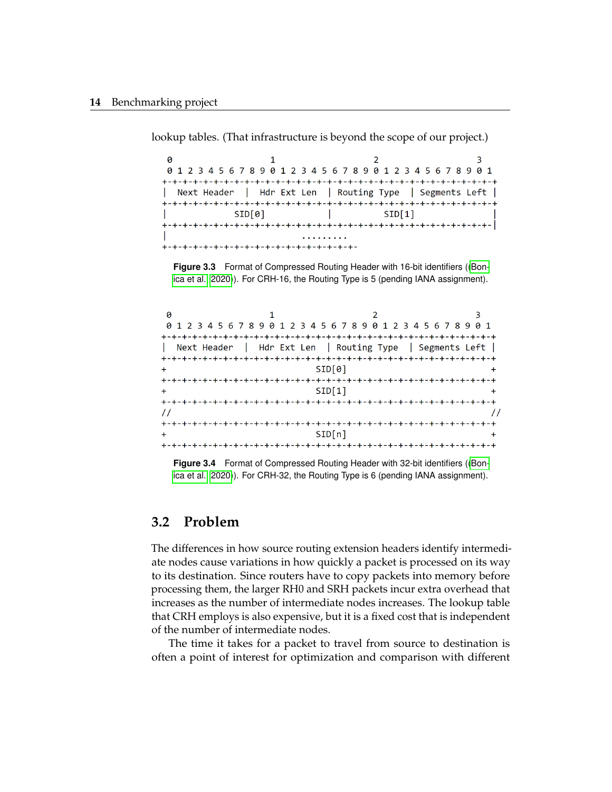<span id="page-24-1"></span> $\theta$  $\overline{3}$  $\mathbf{1}$  $\mathfrak{p}$ 01234567890123456789012345678901 | Next Header | Hdr Ext Len | Routing Type | Segments Left |  $\text{SID[0]}$  |  $\text{SID[1]}$ 

lookup tables. (That infrastructure is beyond the scope of our project.)

**Figure 3.3** Format of Compressed Routing Header with 16-bit identifiers ([\(Bon](#page-41-8)[ica et al., 2020\)](#page-41-8)). For CRH-16, the Routing Type is 5 (pending IANA assignment).

<span id="page-24-2"></span>

| ø<br>0 1 2 3 4 5 6 7 8 9 0 1 2 3 4 5 6 7 8 9 0 1 2 3 4 5 6 7 8 9 0 1 |                            |  |
|----------------------------------------------------------------------|----------------------------|--|
|                                                                      |                            |  |
| Next Header   Hdr Ext Len   Routing Type   Segments Left             |                            |  |
|                                                                      |                            |  |
|                                                                      | SID[0]                     |  |
|                                                                      | -+-+-+-+-+-+-+-+-+-+-+-+-+ |  |
|                                                                      | SID[1]                     |  |
|                                                                      |                            |  |
|                                                                      |                            |  |
|                                                                      |                            |  |
|                                                                      | SID[n]                     |  |
|                                                                      |                            |  |

**Figure 3.4** Format of Compressed Routing Header with 32-bit identifiers ([\(Bon](#page-41-8)[ica et al., 2020\)](#page-41-8)). For CRH-32, the Routing Type is 6 (pending IANA assignment).

### <span id="page-24-0"></span>**3.2 Problem**

The differences in how source routing extension headers identify intermediate nodes cause variations in how quickly a packet is processed on its way to its destination. Since routers have to copy packets into memory before processing them, the larger RH0 and SRH packets incur extra overhead that increases as the number of intermediate nodes increases. The lookup table that CRH employs is also expensive, but it is a fixed cost that is independent of the number of intermediate nodes.

The time it takes for a packet to travel from source to destination is often a point of interest for optimization and comparison with different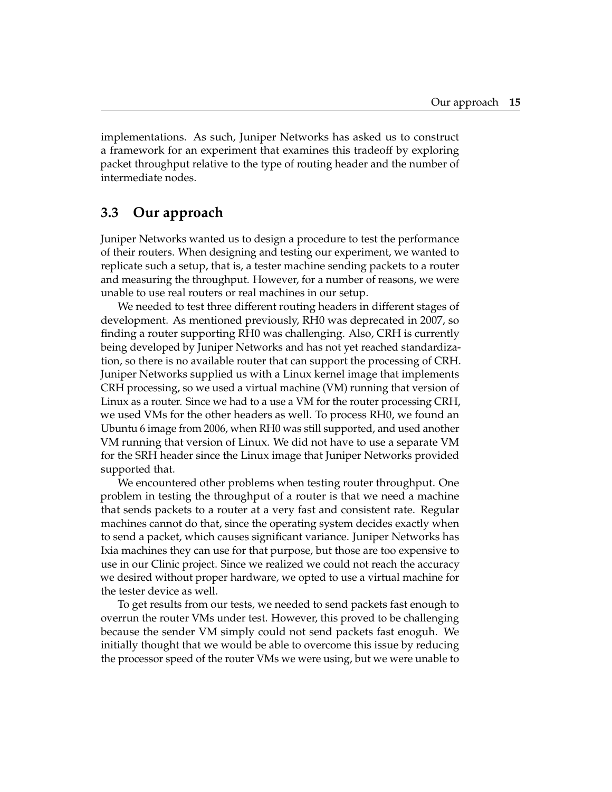implementations. As such, Juniper Networks has asked us to construct a framework for an experiment that examines this tradeoff by exploring packet throughput relative to the type of routing header and the number of intermediate nodes.

### <span id="page-25-0"></span>**3.3 Our approach**

Juniper Networks wanted us to design a procedure to test the performance of their routers. When designing and testing our experiment, we wanted to replicate such a setup, that is, a tester machine sending packets to a router and measuring the throughput. However, for a number of reasons, we were unable to use real routers or real machines in our setup.

We needed to test three different routing headers in different stages of development. As mentioned previously, RH0 was deprecated in 2007, so finding a router supporting RH0 was challenging. Also, CRH is currently being developed by Juniper Networks and has not yet reached standardization, so there is no available router that can support the processing of CRH. Juniper Networks supplied us with a Linux kernel image that implements CRH processing, so we used a virtual machine (VM) running that version of Linux as a router. Since we had to a use a VM for the router processing CRH, we used VMs for the other headers as well. To process RH0, we found an Ubuntu 6 image from 2006, when RH0 was still supported, and used another VM running that version of Linux. We did not have to use a separate VM for the SRH header since the Linux image that Juniper Networks provided supported that.

We encountered other problems when testing router throughput. One problem in testing the throughput of a router is that we need a machine that sends packets to a router at a very fast and consistent rate. Regular machines cannot do that, since the operating system decides exactly when to send a packet, which causes significant variance. Juniper Networks has Ixia machines they can use for that purpose, but those are too expensive to use in our Clinic project. Since we realized we could not reach the accuracy we desired without proper hardware, we opted to use a virtual machine for the tester device as well.

To get results from our tests, we needed to send packets fast enough to overrun the router VMs under test. However, this proved to be challenging because the sender VM simply could not send packets fast enoguh. We initially thought that we would be able to overcome this issue by reducing the processor speed of the router VMs we were using, but we were unable to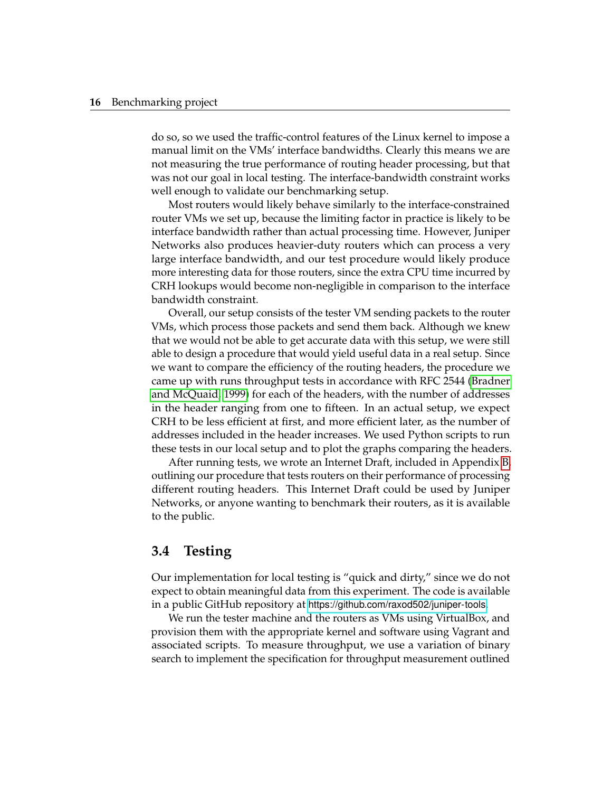do so, so we used the traffic-control features of the Linux kernel to impose a manual limit on the VMs' interface bandwidths. Clearly this means we are not measuring the true performance of routing header processing, but that was not our goal in local testing. The interface-bandwidth constraint works well enough to validate our benchmarking setup.

Most routers would likely behave similarly to the interface-constrained router VMs we set up, because the limiting factor in practice is likely to be interface bandwidth rather than actual processing time. However, Juniper Networks also produces heavier-duty routers which can process a very large interface bandwidth, and our test procedure would likely produce more interesting data for those routers, since the extra CPU time incurred by CRH lookups would become non-negligible in comparison to the interface bandwidth constraint.

Overall, our setup consists of the tester VM sending packets to the router VMs, which process those packets and send them back. Although we knew that we would not be able to get accurate data with this setup, we were still able to design a procedure that would yield useful data in a real setup. Since we want to compare the efficiency of the routing headers, the procedure we came up with runs throughput tests in accordance with RFC 2544 [\(Bradner](#page-41-9) [and McQuaid, 1999\)](#page-41-9) for each of the headers, with the number of addresses in the header ranging from one to fifteen. In an actual setup, we expect CRH to be less efficient at first, and more efficient later, as the number of addresses included in the header increases. We used Python scripts to run these tests in our local setup and to plot the graphs comparing the headers.

After running tests, we wrote an Internet Draft, included in Appendix [B,](#page-35-0) outlining our procedure that tests routers on their performance of processing different routing headers. This Internet Draft could be used by Juniper Networks, or anyone wanting to benchmark their routers, as it is available to the public.

### <span id="page-26-0"></span>**3.4 Testing**

Our implementation for local testing is "quick and dirty," since we do not expect to obtain meaningful data from this experiment. The code is available in a public GitHub repository at <https://github.com/raxod502/juniper-tools>.

We run the tester machine and the routers as VMs using VirtualBox, and provision them with the appropriate kernel and software using Vagrant and associated scripts. To measure throughput, we use a variation of binary search to implement the specification for throughput measurement outlined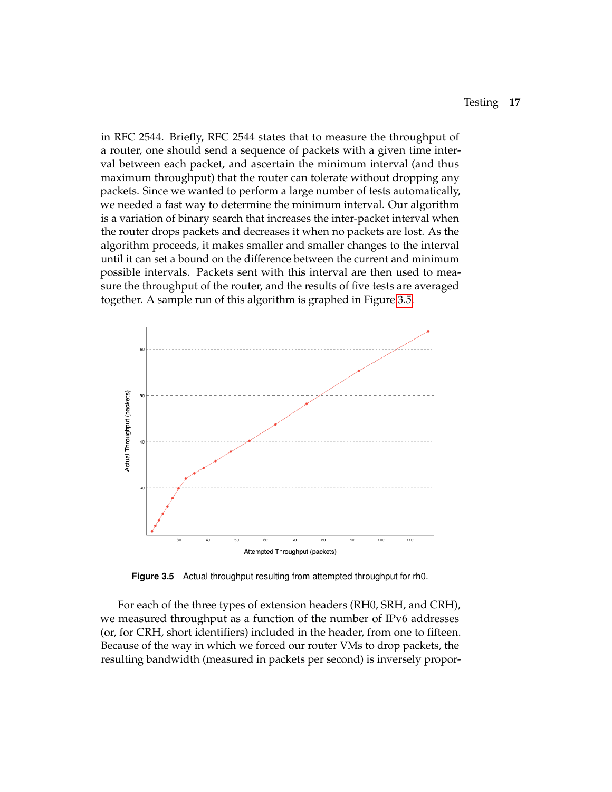in RFC 2544. Briefly, RFC 2544 states that to measure the throughput of a router, one should send a sequence of packets with a given time interval between each packet, and ascertain the minimum interval (and thus maximum throughput) that the router can tolerate without dropping any packets. Since we wanted to perform a large number of tests automatically, we needed a fast way to determine the minimum interval. Our algorithm is a variation of binary search that increases the inter-packet interval when the router drops packets and decreases it when no packets are lost. As the algorithm proceeds, it makes smaller and smaller changes to the interval until it can set a bound on the difference between the current and minimum possible intervals. Packets sent with this interval are then used to measure the throughput of the router, and the results of five tests are averaged together. A sample run of this algorithm is graphed in Figure [3.5.](#page-27-0)

<span id="page-27-0"></span>

**Figure 3.5** Actual throughput resulting from attempted throughput for rh0.

For each of the three types of extension headers (RH0, SRH, and CRH), we measured throughput as a function of the number of IPv6 addresses (or, for CRH, short identifiers) included in the header, from one to fifteen. Because of the way in which we forced our router VMs to drop packets, the resulting bandwidth (measured in packets per second) is inversely propor-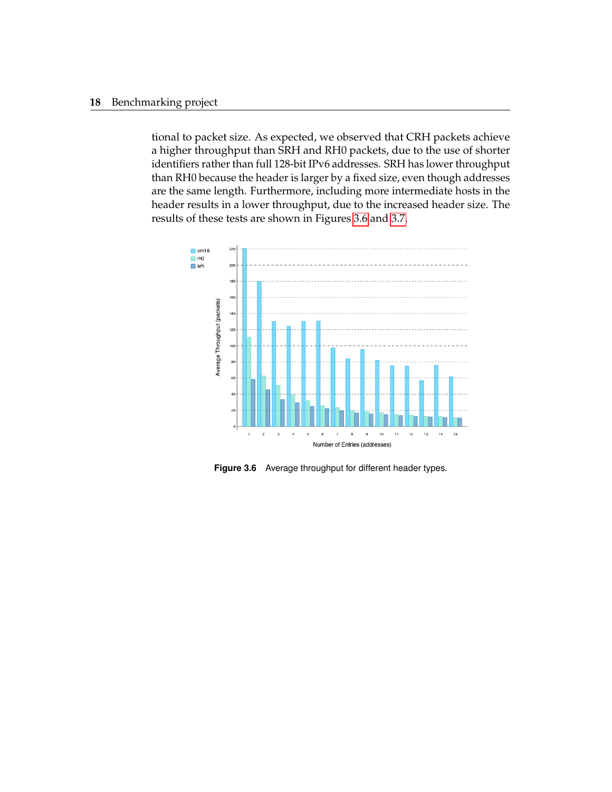#### **18** Benchmarking project

tional to packet size. As expected, we observed that CRH packets achieve a higher throughput than SRH and RH0 packets, due to the use of shorter identifiers rather than full 128-bit IPv6 addresses. SRH has lower throughput than RH0 because the header is larger by a fixed size, even though addresses are the same length. Furthermore, including more intermediate hosts in the header results in a lower throughput, due to the increased header size. The results of these tests are shown in Figures [3.6](#page-28-0) and [3.7.](#page-29-0)

<span id="page-28-0"></span>

**Figure 3.6** Average throughput for different header types.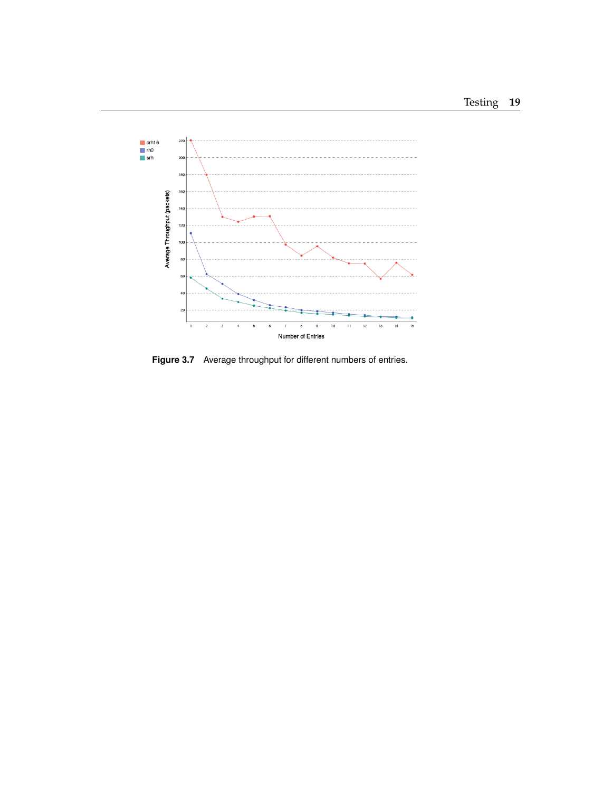<span id="page-29-0"></span>

**Figure 3.7** Average throughput for different numbers of entries.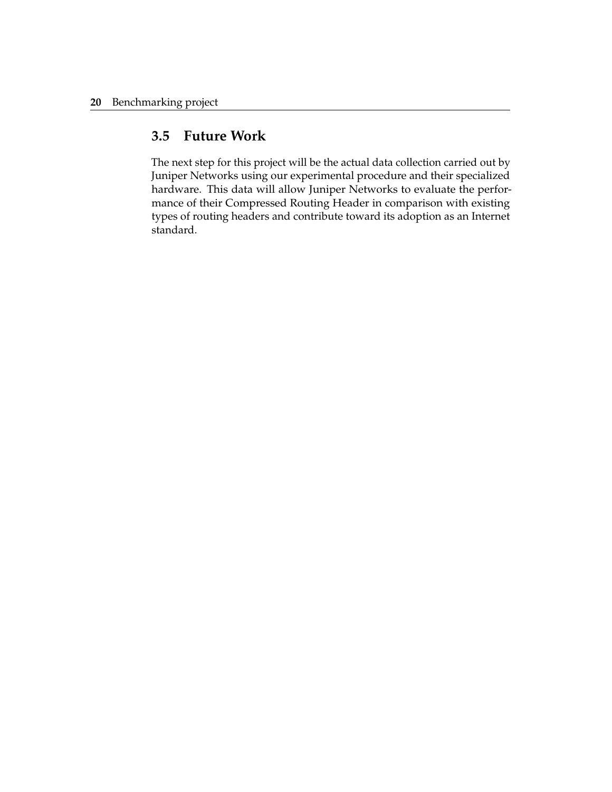### <span id="page-30-0"></span>**3.5 Future Work**

The next step for this project will be the actual data collection carried out by Juniper Networks using our experimental procedure and their specialized hardware. This data will allow Juniper Networks to evaluate the performance of their Compressed Routing Header in comparison with existing types of routing headers and contribute toward its adoption as an Internet standard.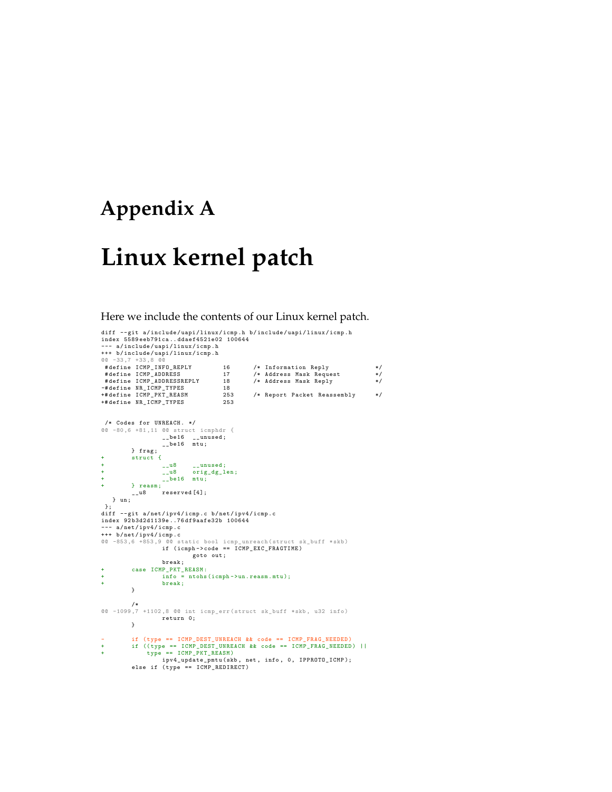## <span id="page-31-0"></span>**Appendix A**

## **Linux kernel patch**

Here we include the contents of our Linux kernel patch.

```
diff --git a/include/uapi/linux/icmp.h b/include/uapi/linux/icmp.h
 index 5589 eeb791ca .. ddaef4521e02 100644
--- a / include / uapi / linux / icmp .h
+++ b/ include / uapi / linux / icmp . h
@@ -33 ,7 +33 ,8 @@
  # define ICMP_INFO_REPLY 16 /* Information Reply */
# define ICMP_ADDRESS 17 /* Address Mask Request */
 #define ICMP_ADDRESSREPLY 18 /* Address Mask Reply */<br>-#define NR_ICMP_TYPES 18<br>+#define ICMP_PKT_REASM 253 /* Report Packet Reassembly */<br>+#define NR_ICMP_TYPES 253
  /* Codes for UNREACH . */
@@ -80 ,6 +81 ,11 @@ struct icmphdr {
                         __be16 __unused;<br>__be16 mtu;
           } frag;<br>struct {
 + struct {
+ __u8 __unused ;
+ __u8 orig_dg_len ;
+ __be16 mtu ;
 + } reasm ;
__u8 reserved [4];
} un ;
 };
diff --git a/net/ipv4/icmp.c b/net/ipv4/icmp.c
index 92 b3d2d1139e ..76 df9aafe32b 100644
--- a / net / ipv4 / icmp .c
+++ b/net/ipv4/icmp.c
 @@ -853,6 +853,9 @@ static bool icmp_unreach(struct sk_buff *skb)<br>if (icmph->code == ICMP_EXC_FRAGTIME)
                                  goto out ;
                        break ;
 + case ICMP_PKT_REASM :
+ info = ntohs (icmph ->un. reasm . mtu );
+ break ;
            }
            /*
@@ -1099 ,7 +1102 ,8 @@ int icmp_err ( struct sk_buff *skb , u32 info )
                       return 0;
           }
- if (type == ICMP_DEST_UNREACH && code == ICMP_FRAG_NEEDED)<br>+ if ((type == ICMP DEST UNREACH && code == ICMP FRAG_NEEDED
 + if (( type == ICMP_DEST_UNREACH && code == ICMP_FRAG_NEEDED ) ||
+ type == ICMP_PKT_REASM )
ipv4_update_pmtu ( skb , net , info , 0, IPPROTO_ICMP );
            else if (type == ICMP_REDIRECT)
```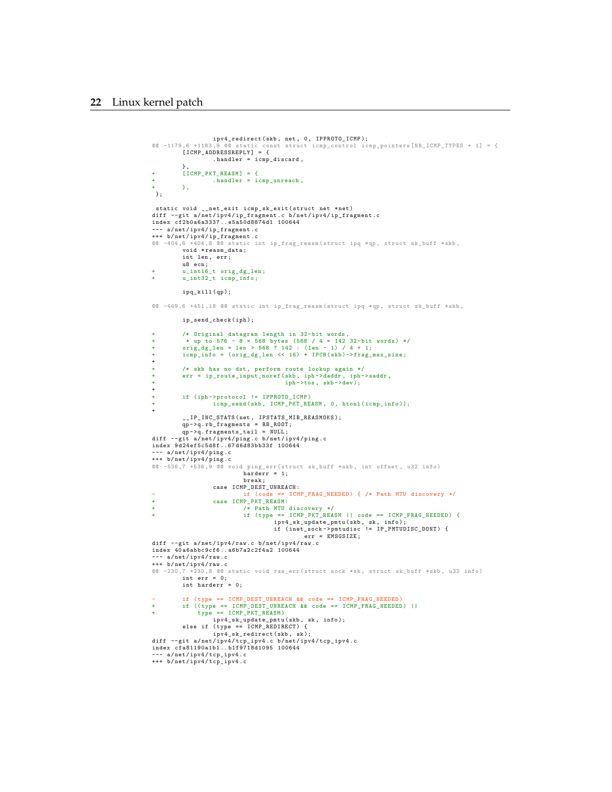#### **22** Linux kernel patch

```
ipv4_redirect ( skb , net , 0, IPPROTO_ICMP );
@@ -1179 ,6 +1183 ,9 @@ static const struct icmp_control icmp_pointers [ NR_ICMP_TYPES + 1] = {
[ ICMP_ADDRESSREPLY ] = {
                      handler = icmp_discard .
          },
+ [ ICMP_PKT_REASM ] = {
+ . handler = icmp_unreach ,
          \rightarrow.
 };
 static void __net_exit icmp_sk_exit ( struct net *net )
diff  — git  a/net/ipv4/ip_fragment.c  b/net/ipv4/ip_fragment.c<br>index  cf2b0a6a3337..e5a50d8874d1  100644<br>---  a/net/ipv4/ip_fragment.c
+++ b/ net / ipv4 / ip_fragment . c
@@ -404 ,6 +404 ,8 @@ static int ip_frag_reasm ( struct ipq *qp , struct sk_buff *skb ,
           void * reasm_data;
          int len , err ;
           u8 ecn ;
+ u_int16_t orig_dg_len ;
+ u_int32_t icmp_info ;
           ipq_kill ( qp );
@@ -449 ,6 +451 ,18 @@ static int ip_frag_reasm ( struct ipq *qp , struct sk_buff *skb ,
          ip_send_check ( iph );
+ /* Original datagram length in 32-bit words,<br>+ * up to 576 - 8 = 568 bytes (568 / 4 = 142 32-bit words) */<br>+ orig_dg_len = len > 568 ? 142 : (len - 1) / 4 + 1;<br>+ icmp_info = (orig_dg_len << 16) + IPCB(skb)->frag_max_size
+
          /* skb has no dst, perform route lookup again */
+ err = ip_route_input_noref (skb , iph ->daddr , iph ->saddr ,
+ iph - >tos , skb -> dev );
+
          if (iph-> protocol != IPPROTO_ICMP)icmp_send (skb, ICMP_PKT_REASM, 0, htonl (icmp_info));
+
           __IP_INC_STATS ( net , IPSTATS_MIB_REASMOKS );
qp ->q.rb_fragments = RB_ROOT;<br>qp ->q.fragments_tail = NULL;<br>diff --git a/net/ipv4/ping.c b/net/ipv4/ping.c
index 9 d24ef5c5d8f ..67 d6d83bb33f 100644
--- a / net / ipv4 / ping .c
+++ b/ net / ipv4 / ping . c
@@ -536 ,7 +536 ,9 @@ void ping_err ( struct sk_buff *skb , int offset , u32 info )
harderr = 1;
                                 break ;
                      case ICMP_DEST_UNREACH :
- if ( code == ICMP_FRAG_NEEDED ) { /* Path MTU discovery */
+ case ICMP_PKT_REASM :
                                 + /* Path MTU discovery */
                                 + if ( type == ICMP_PKT_REASM || code == ICMP_FRAG_NEEDED ) {
                                             ipv4_sk_update_pmtu(skb, sk, info);<br>if (inet_sock->pmtudisc != IP_PMTUDISC_DONT) {<br>err = EMSGSIZE;
diff --git a/net/ipv4/raw.c b/net/ipv4/raw.c
index 40 a6abbc9cf6 .. a6b7a2c2f4a2 100644
 --- a/net/ipv4/raw.c
+++ b/ net / ipv4 / raw .c
@@ -230,7 +230,8 @@ static void raw_err (struct sock *sk, struct sk_buff *skb, u32 info)<br>int err = 0;
          int harderr = 0;
- if ( type == ICMP_DEST_UNREACH && code == ICMP_FRAG_NEEDED )
+ if (( type == ICMP_DEST_UNREACH && code == ICMP_FRAG_NEEDED ) ||
                type = ICMP_PKT_REASMipv4_sk_update_pmtu ( skb , sk , info );
else if ( type == ICMP_REDIRECT ) {
                      ipv4_sk_redirect ( skb , sk );
diff -- git a/ net / ipv4 / tcp_ipv4 .c b/ net / ipv4 / tcp_ipv4 .c
index cfa81190a1b1 .. b1f9718d1095 100644
 --- a / net / ipv4 / tcp_ipv4 .c
+++ b/ net / ipv4 / tcp_ipv4 .c
```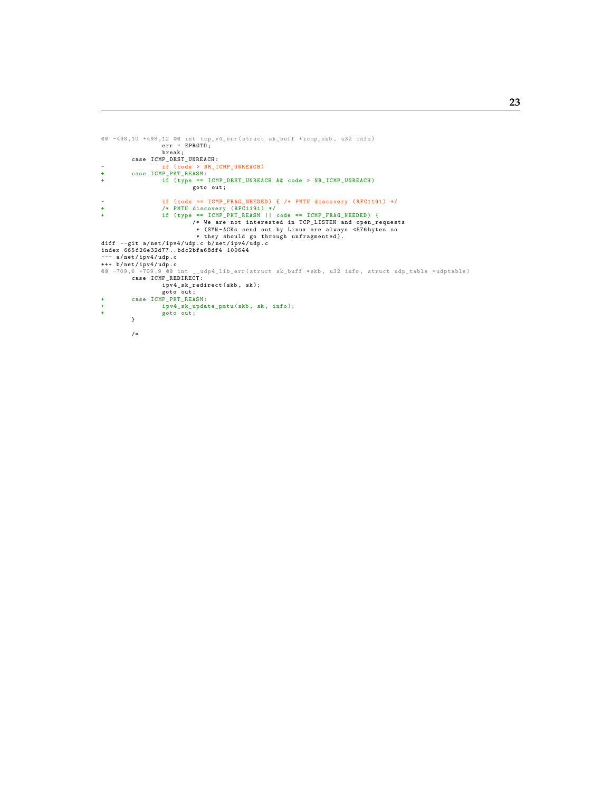```
@@ -498 ,10 +498 ,12 @@ int tcp_v4_err ( struct sk_buff * icmp_skb , u32 info )
                          err = EPROTO;break;<br>case ICMP_DEST_UNREACH:
 case ICMP_DEST_UNREACH :<br>- if (code > NR_ICMP_UNREACH)<br>+ case ICMP_PKT_REASM :<br>if (type == ICMP_DEST_UNREACH && code > NR_ICMP_UNREACH)<br>goto out ;
 - if (code == ICMP_FRAG_NEEDED) { /* PMTU discovery (RFC1191) */<br>
+ /* PMTU discovery (RFC1191) */<br>
+ if (type == ICMP_PKT_REASM || code == ICMP_FRAG_NEEDED) {<br>
/* We are not interested in TCP_LISTEN and open_requests<br>
* (
--- a / net / ipv4 / udp .c
 +++ b/ net / ipv4 / udp .c
@@ -709 ,6 +709 ,9 @@ int __udp4_lib_err ( struct sk_buff *skb , u32 info , struct udp_table * udptable )
case ICMP_REDIRECT :
                          ipv4_sk_redirect ( skb , sk );
 goto out;<br>+ case ICMP_PKT_REASM:
 + ipv4_sk_update_pmtu (skb , sk , info );
+ goto out ;
             }
             /*
```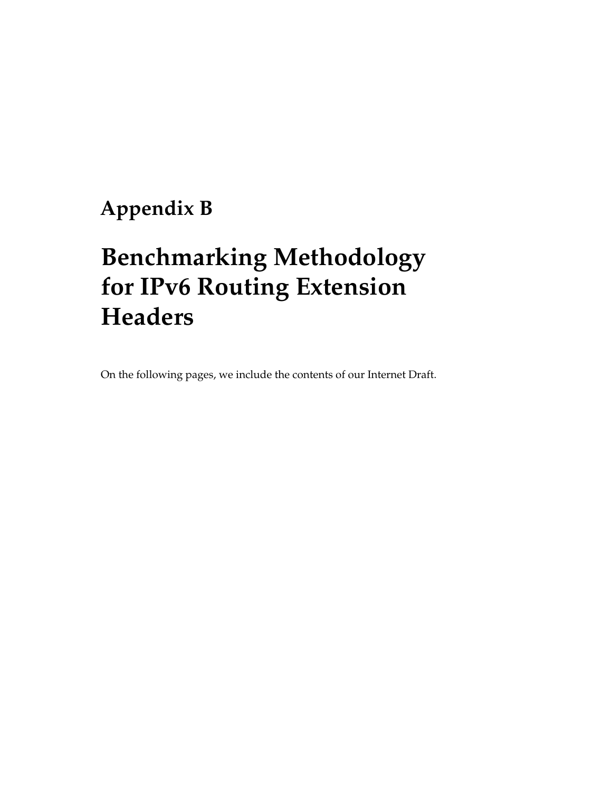## <span id="page-35-0"></span>**Appendix B**

## **Benchmarking Methodology for IPv6 Routing Extension Headers**

On the following pages, we include the contents of our Internet Draft.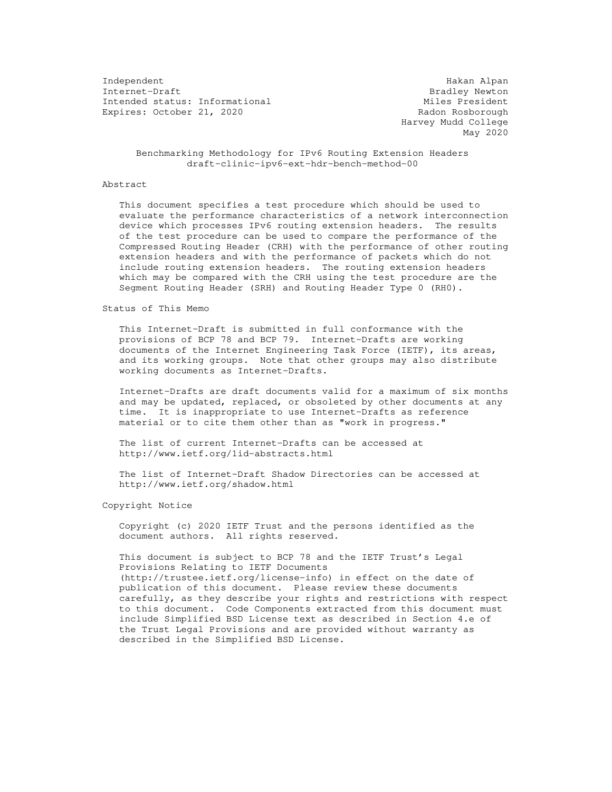Independent Hakan Alpan Intended status: Informational Expires: October 21, 2020 Radon Rosborough

Bradley Newton<br>Miles President Harvey Mudd College May 2020

 Benchmarking Methodology for IPv6 Routing Extension Headers draft-clinic-ipv6-ext-hdr-bench-method-00

#### Abstract

 This document specifies a test procedure which should be used to evaluate the performance characteristics of a network interconnection device which processes IPv6 routing extension headers. The results of the test procedure can be used to compare the performance of the Compressed Routing Header (CRH) with the performance of other routing extension headers and with the performance of packets which do not include routing extension headers. The routing extension headers which may be compared with the CRH using the test procedure are the Segment Routing Header (SRH) and Routing Header Type 0 (RH0).

#### Status of This Memo

 This Internet-Draft is submitted in full conformance with the provisions of BCP 78 and BCP 79. Internet-Drafts are working documents of the Internet Engineering Task Force (IETF), its areas, and its working groups. Note that other groups may also distribute working documents as Internet-Drafts.

 Internet-Drafts are draft documents valid for a maximum of six months and may be updated, replaced, or obsoleted by other documents at any time. It is inappropriate to use Internet-Drafts as reference material or to cite them other than as "work in progress."

 The list of current Internet-Drafts can be accessed at http://www.ietf.org/1id-abstracts.html

 The list of Internet-Draft Shadow Directories can be accessed at http://www.ietf.org/shadow.html

Copyright Notice

 Copyright (c) 2020 IETF Trust and the persons identified as the document authors. All rights reserved.

 This document is subject to BCP 78 and the IETF Trust's Legal Provisions Relating to IETF Documents (http://trustee.ietf.org/license-info) in effect on the date of publication of this document. Please review these documents carefully, as they describe your rights and restrictions with respect to this document. Code Components extracted from this document must include Simplified BSD License text as described in Section 4.e of the Trust Legal Provisions and are provided without warranty as described in the Simplified BSD License.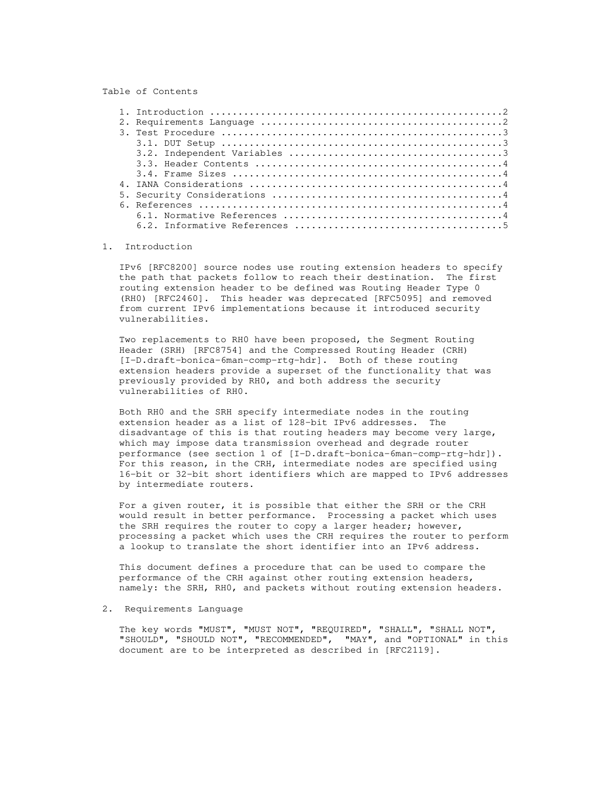#### Table of Contents

#### 1. Introduction

 IPv6 [RFC8200] source nodes use routing extension headers to specify the path that packets follow to reach their destination. The first routing extension header to be defined was Routing Header Type 0 (RH0) [RFC2460]. This header was deprecated [RFC5095] and removed from current IPv6 implementations because it introduced security vulnerabilities.

 Two replacements to RH0 have been proposed, the Segment Routing Header (SRH) [RFC8754] and the Compressed Routing Header (CRH) [I-D.draft-bonica-6man-comp-rtg-hdr]. Both of these routing extension headers provide a superset of the functionality that was previously provided by RH0, and both address the security vulnerabilities of RH0.

 Both RH0 and the SRH specify intermediate nodes in the routing extension header as a list of 128-bit IPv6 addresses. The disadvantage of this is that routing headers may become very large, which may impose data transmission overhead and degrade router performance (see section 1 of [I-D.draft-bonica-6man-comp-rtg-hdr]). For this reason, in the CRH, intermediate nodes are specified using 16-bit or 32-bit short identifiers which are mapped to IPv6 addresses by intermediate routers.

 For a given router, it is possible that either the SRH or the CRH would result in better performance. Processing a packet which uses the SRH requires the router to copy a larger header; however, processing a packet which uses the CRH requires the router to perform a lookup to translate the short identifier into an IPv6 address.

 This document defines a procedure that can be used to compare the performance of the CRH against other routing extension headers, namely: the SRH, RH0, and packets without routing extension headers.

#### 2. Requirements Language

 The key words "MUST", "MUST NOT", "REQUIRED", "SHALL", "SHALL NOT", "SHOULD", "SHOULD NOT", "RECOMMENDED", "MAY", and "OPTIONAL" in this document are to be interpreted as described in [RFC2119].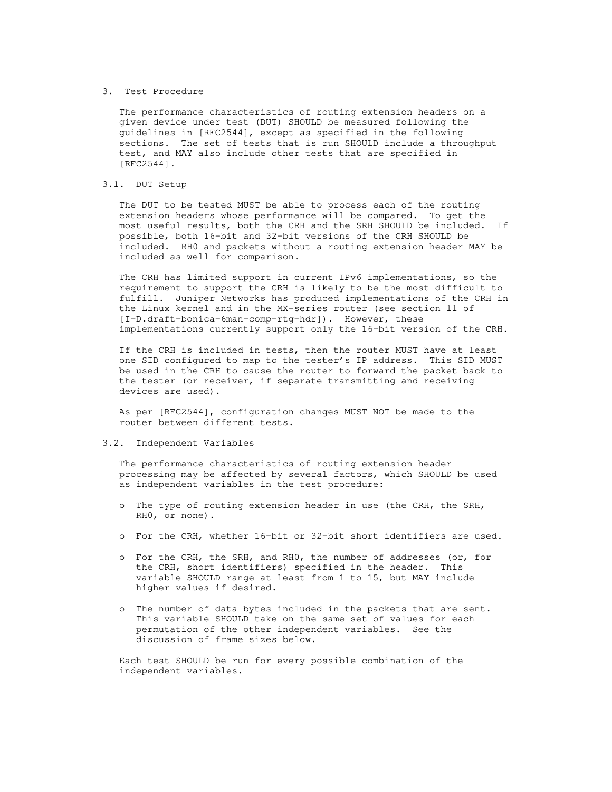#### 3. Test Procedure

 The performance characteristics of routing extension headers on a given device under test (DUT) SHOULD be measured following the guidelines in [RFC2544], except as specified in the following sections. The set of tests that is run SHOULD include a throughput test, and MAY also include other tests that are specified in [RFC2544].

#### 3.1. DUT Setup

 The DUT to be tested MUST be able to process each of the routing extension headers whose performance will be compared. To get the most useful results, both the CRH and the SRH SHOULD be included. If possible, both 16-bit and 32-bit versions of the CRH SHOULD be included. RH0 and packets without a routing extension header MAY be included as well for comparison.

 The CRH has limited support in current IPv6 implementations, so the requirement to support the CRH is likely to be the most difficult to fulfill. Juniper Networks has produced implementations of the CRH in the Linux kernel and in the MX-series router (see section 11 of [I-D.draft-bonica-6man-comp-rtg-hdr]). However, these implementations currently support only the 16-bit version of the CRH.

 If the CRH is included in tests, then the router MUST have at least one SID configured to map to the tester's IP address. This SID MUST be used in the CRH to cause the router to forward the packet back to the tester (or receiver, if separate transmitting and receiving devices are used).

 As per [RFC2544], configuration changes MUST NOT be made to the router between different tests.

#### 3.2. Independent Variables

 The performance characteristics of routing extension header processing may be affected by several factors, which SHOULD be used as independent variables in the test procedure:

- o The type of routing extension header in use (the CRH, the SRH, RH0, or none).
- o For the CRH, whether 16-bit or 32-bit short identifiers are used.
- o For the CRH, the SRH, and RH0, the number of addresses (or, for the CRH, short identifiers) specified in the header. This variable SHOULD range at least from 1 to 15, but MAY include higher values if desired.
- o The number of data bytes included in the packets that are sent. This variable SHOULD take on the same set of values for each permutation of the other independent variables. See the discussion of frame sizes below.

 Each test SHOULD be run for every possible combination of the independent variables.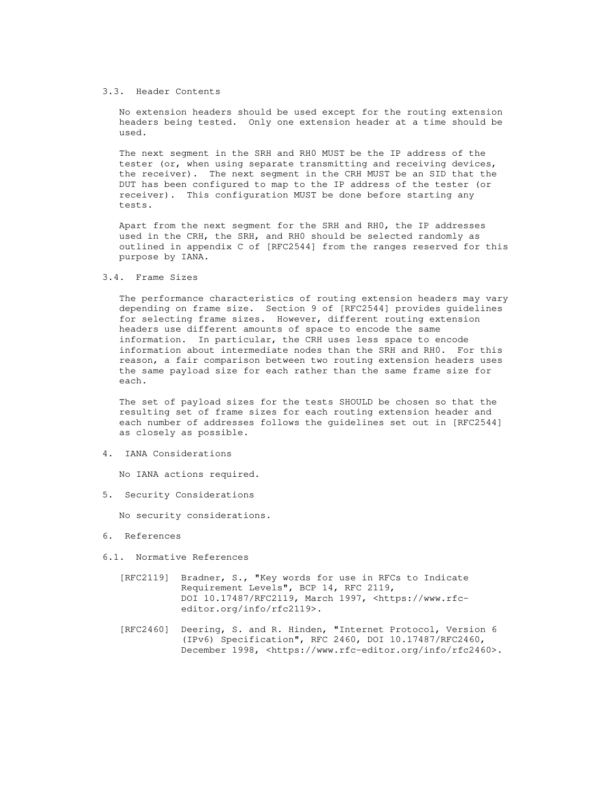#### 3.3. Header Contents

 No extension headers should be used except for the routing extension headers being tested. Only one extension header at a time should be used.

 The next segment in the SRH and RH0 MUST be the IP address of the tester (or, when using separate transmitting and receiving devices, the receiver). The next segment in the CRH MUST be an SID that the DUT has been configured to map to the IP address of the tester (or receiver). This configuration MUST be done before starting any tests.

 Apart from the next segment for the SRH and RH0, the IP addresses used in the CRH, the SRH, and RH0 should be selected randomly as outlined in appendix C of [RFC2544] from the ranges reserved for this purpose by IANA.

#### 3.4. Frame Sizes

 The performance characteristics of routing extension headers may vary depending on frame size. Section 9 of [RFC2544] provides guidelines for selecting frame sizes. However, different routing extension headers use different amounts of space to encode the same information. In particular, the CRH uses less space to encode information about intermediate nodes than the SRH and RH0. For this reason, a fair comparison between two routing extension headers uses the same payload size for each rather than the same frame size for each.

 The set of payload sizes for the tests SHOULD be chosen so that the resulting set of frame sizes for each routing extension header and each number of addresses follows the guidelines set out in [RFC2544] as closely as possible.

4. IANA Considerations

No IANA actions required.

5. Security Considerations

No security considerations.

- 6. References
- 6.1. Normative References
	- [RFC2119] Bradner, S., "Key words for use in RFCs to Indicate Requirement Levels", BCP 14, RFC 2119, DOI 10.17487/RFC2119, March 1997, <https://www.rfc editor.org/info/rfc2119>.
	- [RFC2460] Deering, S. and R. Hinden, "Internet Protocol, Version 6 (IPv6) Specification", RFC 2460, DOI 10.17487/RFC2460, December 1998, <https://www.rfc-editor.org/info/rfc2460>.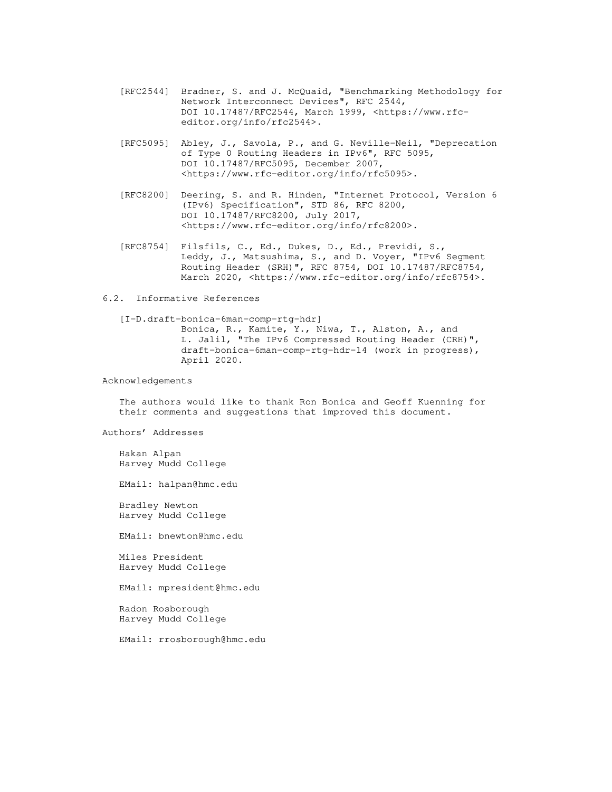- [RFC2544] Bradner, S. and J. McQuaid, "Benchmarking Methodology for Network Interconnect Devices", RFC 2544, DOI 10.17487/RFC2544, March 1999, <https://www.rfc editor.org/info/rfc2544>.
- [RFC5095] Abley, J., Savola, P., and G. Neville-Neil, "Deprecation of Type 0 Routing Headers in IPv6", RFC 5095, DOI 10.17487/RFC5095, December 2007, <https://www.rfc-editor.org/info/rfc5095>.
- [RFC8200] Deering, S. and R. Hinden, "Internet Protocol, Version 6 (IPv6) Specification", STD 86, RFC 8200, DOI 10.17487/RFC8200, July 2017, <https://www.rfc-editor.org/info/rfc8200>.
- [RFC8754] Filsfils, C., Ed., Dukes, D., Ed., Previdi, S., Leddy, J., Matsushima, S., and D. Voyer, "IPv6 Segment Routing Header (SRH)", RFC 8754, DOI 10.17487/RFC8754, March 2020, <https://www.rfc-editor.org/info/rfc8754>.

#### 6.2. Informative References

 [I-D.draft-bonica-6man-comp-rtg-hdr] Bonica, R., Kamite, Y., Niwa, T., Alston, A., and L. Jalil, "The IPv6 Compressed Routing Header (CRH)", draft-bonica-6man-comp-rtg-hdr-14 (work in progress), April 2020.

#### Acknowledgements

 The authors would like to thank Ron Bonica and Geoff Kuenning for their comments and suggestions that improved this document.

Authors' Addresses

 Hakan Alpan Harvey Mudd College

EMail: halpan@hmc.edu

 Bradley Newton Harvey Mudd College

EMail: bnewton@hmc.edu

 Miles President Harvey Mudd College

EMail: mpresident@hmc.edu

 Radon Rosborough Harvey Mudd College

EMail: rrosborough@hmc.edu